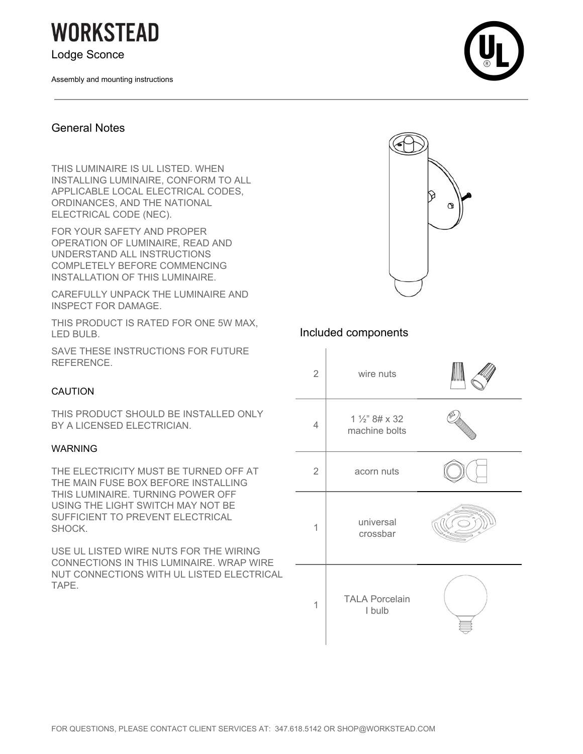**WORKSTEAD** 

Lodge Sconce

Assembly and mounting instructions



#### General Notes

THIS LUMINAIRE IS UL LISTED. WHEN INSTALLING LUMINAIRE, CONFORM TO ALL APPLICABLE LOCAL ELECTRICAL CODES, ORDINANCES, AND THE NATIONAL ELECTRICAL CODE (NEC).

FOR YOUR SAFETY AND PROPER OPERATION OF LUMINAIRE, READ AND UNDERSTAND ALL INSTRUCTIONS COMPLETELY BEFORE COMMENCING INSTALLATION OF THIS LUMINAIRE.

CAREFULLY UNPACK THE LUMINAIRE AND INSPECT FOR DAMAGE.

THIS PRODUCT IS RATED FOR ONE 5W MAX, LED BULB.

SAVE THESE INSTRUCTIONS FOR FUTURE REFERENCE.

#### CAUTION

THIS PRODUCT SHOULD BE INSTALLED ONLY BY A LICENSED ELECTRICIAN.

#### WARNING

THE ELECTRICITY MUST BE TURNED OFF AT THE MAIN FUSE BOX BEFORE INSTALLING THIS LUMINAIRE. TURNING POWER OFF USING THE LIGHT SWITCH MAY NOT BE SUFFICIENT TO PREVENT ELECTRICAL SHOCK.

USE UL LISTED WIRE NUTS FOR THE WIRING CONNECTIONS IN THIS LUMINAIRE. WRAP WIRE NUT CONNECTIONS WITH UL LISTED ELECTRICAL TAPE.



### Included components

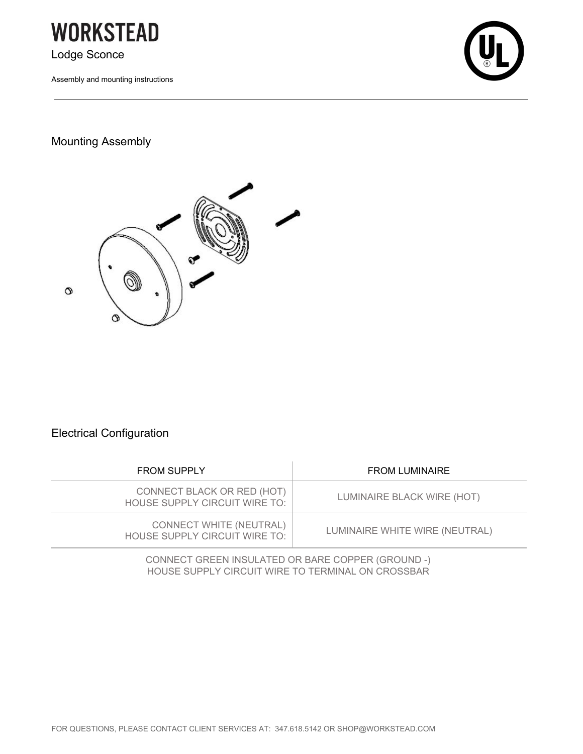

Assembly and mounting instructions



## Mounting Assembly



# Electrical Configuration

| CONNECT BLACK OR RED (HOT)<br>LUMINAIRE BLACK WIRE (HOT)<br>HOUSE SUPPLY CIRCUIT WIRE TO:         |  |
|---------------------------------------------------------------------------------------------------|--|
| <b>CONNECT WHITE (NEUTRAL)</b><br>LUMINAIRE WHITE WIRE (NEUTRAL)<br>HOUSE SUPPLY CIRCUIT WIRE TO: |  |

CONNECT GREEN INSULATED OR BARE COPPER (GROUND -) HOUSE SUPPLY CIRCUIT WIRE TO TERMINAL ON CROSSBAR